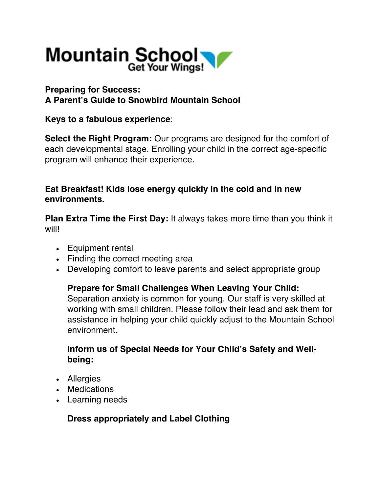

# **Preparing for Success: A Parent's Guide to Snowbird Mountain School**

## **Keys to a fabulous experience**:

**Select the Right Program:** Our programs are designed for the comfort of each developmental stage. Enrolling your child in the correct age-specific program will enhance their experience.

## **Eat Breakfast! Kids lose energy quickly in the cold and in new environments.**

**Plan Extra Time the First Day:** It always takes more time than you think it will!

- Equipment rental
- Finding the correct meeting area
- Developing comfort to leave parents and select appropriate group

#### **Prepare for Small Challenges When Leaving Your Child:**

Separation anxiety is common for young. Our staff is very skilled at working with small children. Please follow their lead and ask them for assistance in helping your child quickly adjust to the Mountain School environment.

## **Inform us of Special Needs for Your Child's Safety and Wellbeing:**

- Allergies
- Medications
- Learning needs

#### **Dress appropriately and Label Clothing**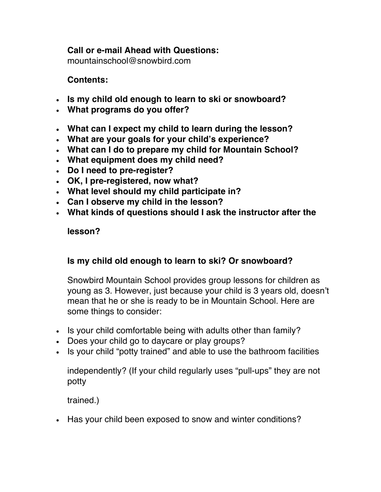## **Call or e-mail Ahead with Questions:**

mountainschool@snowbird.com

## **Contents:**

- **Is my child old enough to learn to ski or snowboard?**
- **What programs do you offer?**
- **What can I expect my child to learn during the lesson?**
- **What are your goals for your child's experience?**
- **What can I do to prepare my child for Mountain School?**
- **What equipment does my child need?**
- **Do I need to pre-register?**
- **OK, I pre-registered, now what?**
- **What level should my child participate in?**
- **Can I observe my child in the lesson?**
- **What kinds of questions should I ask the instructor after the**

#### **lesson?**

#### **Is my child old enough to learn to ski? Or snowboard?**

Snowbird Mountain School provides group lessons for children as young as 3. However, just because your child is 3 years old, doesn't mean that he or she is ready to be in Mountain School. Here are some things to consider:

- Is your child comfortable being with adults other than family?
- Does your child go to daycare or play groups?
- Is your child "potty trained" and able to use the bathroom facilities

independently? (If your child regularly uses "pull-ups" they are not potty

trained.)

• Has your child been exposed to snow and winter conditions?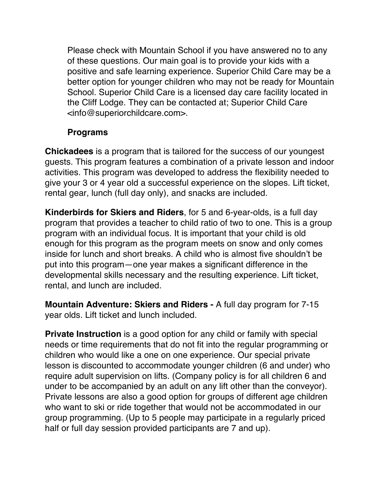Please check with Mountain School if you have answered no to any of these questions. Our main goal is to provide your kids with a positive and safe learning experience. Superior Child Care may be a better option for younger children who may not be ready for Mountain School. Superior Child Care is a licensed day care facility located in the Cliff Lodge. They can be contacted at; Superior Child Care <info@superiorchildcare.com>.

## **Programs**

**Chickadees** is a program that is tailored for the success of our youngest guests. This program features a combination of a private lesson and indoor activities. This program was developed to address the flexibility needed to give your 3 or 4 year old a successful experience on the slopes. Lift ticket, rental gear, lunch (full day only), and snacks are included.

**Kinderbirds for Skiers and Riders**, for 5 and 6-year-olds, is a full day program that provides a teacher to child ratio of two to one. This is a group program with an individual focus. It is important that your child is old enough for this program as the program meets on snow and only comes inside for lunch and short breaks. A child who is almost five shouldn't be put into this program—one year makes a significant difference in the developmental skills necessary and the resulting experience. Lift ticket, rental, and lunch are included.

**Mountain Adventure: Skiers and Riders -** A full day program for 7-15 year olds. Lift ticket and lunch included.

**Private Instruction** is a good option for any child or family with special needs or time requirements that do not fit into the regular programming or children who would like a one on one experience. Our special private lesson is discounted to accommodate younger children (6 and under) who require adult supervision on lifts. (Company policy is for all children 6 and under to be accompanied by an adult on any lift other than the conveyor). Private lessons are also a good option for groups of different age children who want to ski or ride together that would not be accommodated in our group programming. (Up to 5 people may participate in a regularly priced half or full day session provided participants are 7 and up).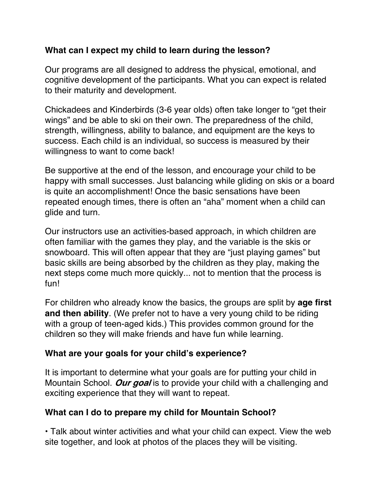# **What can I expect my child to learn during the lesson?**

Our programs are all designed to address the physical, emotional, and cognitive development of the participants. What you can expect is related to their maturity and development.

Chickadees and Kinderbirds (3-6 year olds) often take longer to "get their wings" and be able to ski on their own. The preparedness of the child, strength, willingness, ability to balance, and equipment are the keys to success. Each child is an individual, so success is measured by their willingness to want to come back!

Be supportive at the end of the lesson, and encourage your child to be happy with small successes. Just balancing while gliding on skis or a board is quite an accomplishment! Once the basic sensations have been repeated enough times, there is often an "aha" moment when a child can glide and turn.

Our instructors use an activities-based approach, in which children are often familiar with the games they play, and the variable is the skis or snowboard. This will often appear that they are "just playing games" but basic skills are being absorbed by the children as they play, making the next steps come much more quickly... not to mention that the process is fun!

For children who already know the basics, the groups are split by **age first and then ability**. (We prefer not to have a very young child to be riding with a group of teen-aged kids.) This provides common ground for the children so they will make friends and have fun while learning.

#### **What are your goals for your child's experience?**

It is important to determine what your goals are for putting your child in Mountain School. **Our goal** is to provide your child with a challenging and exciting experience that they will want to repeat.

#### **What can I do to prepare my child for Mountain School?**

• Talk about winter activities and what your child can expect. View the web site together, and look at photos of the places they will be visiting.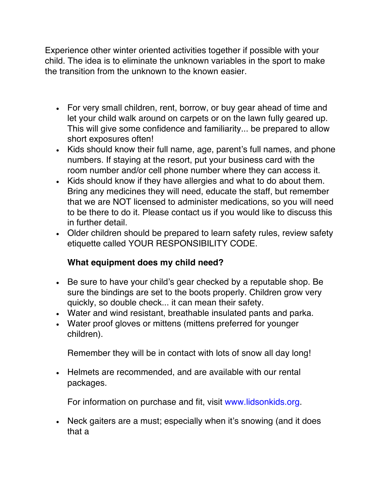Experience other winter oriented activities together if possible with your child. The idea is to eliminate the unknown variables in the sport to make the transition from the unknown to the known easier.

- For very small children, rent, borrow, or buy gear ahead of time and let your child walk around on carpets or on the lawn fully geared up. This will give some confidence and familiarity... be prepared to allow short exposures often!
- Kids should know their full name, age, parent's full names, and phone numbers. If staying at the resort, put your business card with the room number and/or cell phone number where they can access it.
- Kids should know if they have allergies and what to do about them. Bring any medicines they will need, educate the staff, but remember that we are NOT licensed to administer medications, so you will need to be there to do it. Please contact us if you would like to discuss this in further detail.
- Older children should be prepared to learn safety rules, review safety etiquette called YOUR RESPONSIBILITY CODE.

# **What equipment does my child need?**

- Be sure to have your child's gear checked by a reputable shop. Be sure the bindings are set to the boots properly. Children grow very quickly, so double check... it can mean their safety.
- Water and wind resistant, breathable insulated pants and parka.
- Water proof gloves or mittens (mittens preferred for younger children).

Remember they will be in contact with lots of snow all day long!

• Helmets are recommended, and are available with our rental packages.

For information on purchase and fit, visit www.lidsonkids.org.

• Neck gaiters are a must; especially when it's snowing (and it does that a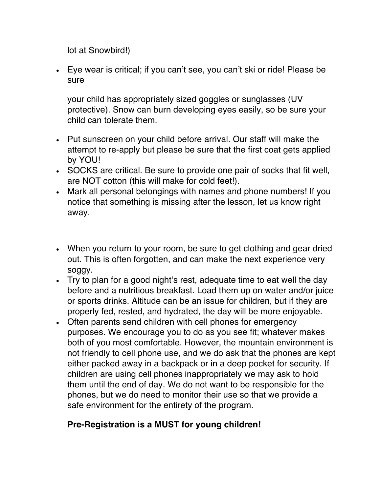lot at Snowbird!)

• Eye wear is critical; if you can't see, you can't ski or ride! Please be sure

your child has appropriately sized goggles or sunglasses (UV protective). Snow can burn developing eyes easily, so be sure your child can tolerate them.

- Put sunscreen on your child before arrival. Our staff will make the attempt to re-apply but please be sure that the first coat gets applied by YOU!
- SOCKS are critical. Be sure to provide one pair of socks that fit well, are NOT cotton (this will make for cold feet!).
- Mark all personal belongings with names and phone numbers! If you notice that something is missing after the lesson, let us know right away.
- When you return to your room, be sure to get clothing and gear dried out. This is often forgotten, and can make the next experience very soggy.
- Try to plan for a good night's rest, adequate time to eat well the day before and a nutritious breakfast. Load them up on water and/or juice or sports drinks. Altitude can be an issue for children, but if they are properly fed, rested, and hydrated, the day will be more enjoyable.
- Often parents send children with cell phones for emergency purposes. We encourage you to do as you see fit; whatever makes both of you most comfortable. However, the mountain environment is not friendly to cell phone use, and we do ask that the phones are kept either packed away in a backpack or in a deep pocket for security. If children are using cell phones inappropriately we may ask to hold them until the end of day. We do not want to be responsible for the phones, but we do need to monitor their use so that we provide a safe environment for the entirety of the program.

# **Pre-Registration is a MUST for young children!**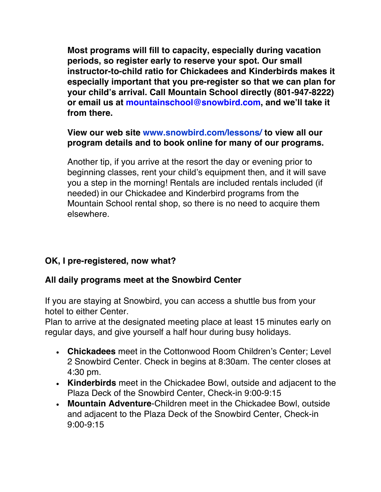**Most programs will fill to capacity, especially during vacation periods, so register early to reserve your spot. Our small instructor-to-child ratio for Chickadees and Kinderbirds makes it especially important that you pre-register so that we can plan for your child's arrival. Call Mountain School directly (801-947-8222) or email us at mountainschool@snowbird.com, and we'll take it from there.** 

# **View our web site www.snowbird.com/lessons/ to view all our program details and to book online for many of our programs.**

Another tip, if you arrive at the resort the day or evening prior to beginning classes, rent your child's equipment then, and it will save you a step in the morning! Rentals are included rentals included (if needed) in our Chickadee and Kinderbird programs from the Mountain School rental shop, so there is no need to acquire them elsewhere.

# **OK, I pre-registered, now what?**

# **All daily programs meet at the Snowbird Center**

If you are staying at Snowbird, you can access a shuttle bus from your hotel to either Center.

Plan to arrive at the designated meeting place at least 15 minutes early on regular days, and give yourself a half hour during busy holidays.

- **Chickadees** meet in the Cottonwood Room Children's Center; Level 2 Snowbird Center. Check in begins at 8:30am. The center closes at 4:30 pm.
- **Kinderbirds** meet in the Chickadee Bowl, outside and adjacent to the Plaza Deck of the Snowbird Center, Check-in 9:00-9:15
- **Mountain Adventure**-Children meet in the Chickadee Bowl, outside and adjacent to the Plaza Deck of the Snowbird Center, Check-in 9:00-9:15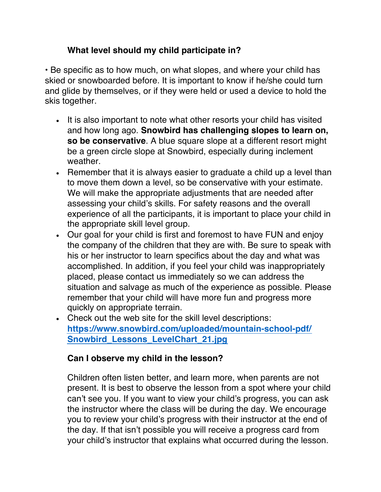# **What level should my child participate in?**

• Be specific as to how much, on what slopes, and where your child has skied or snowboarded before. It is important to know if he/she could turn and glide by themselves, or if they were held or used a device to hold the skis together.

- It is also important to note what other resorts your child has visited and how long ago. **Snowbird has challenging slopes to learn on, so be conservative**. A blue square slope at a different resort might be a green circle slope at Snowbird, especially during inclement weather.
- Remember that it is always easier to graduate a child up a level than to move them down a level, so be conservative with your estimate. We will make the appropriate adjustments that are needed after assessing your child's skills. For safety reasons and the overall experience of all the participants, it is important to place your child in the appropriate skill level group.
- Our goal for your child is first and foremost to have FUN and enjoy the company of the children that they are with. Be sure to speak with his or her instructor to learn specifics about the day and what was accomplished. In addition, if you feel your child was inappropriately placed, please contact us immediately so we can address the situation and salvage as much of the experience as possible. Please remember that your child will have more fun and progress more quickly on appropriate terrain.
- Check out the web site for the skill level descriptions: **https://www.snowbird.com/uploaded/mountain-school-pdf/ Snowbird\_Lessons\_LevelChart\_21.jpg**

# **Can I observe my child in the lesson?**

Children often listen better, and learn more, when parents are not present. It is best to observe the lesson from a spot where your child can't see you. If you want to view your child's progress, you can ask the instructor where the class will be during the day. We encourage you to review your child's progress with their instructor at the end of the day. If that isn't possible you will receive a progress card from your child's instructor that explains what occurred during the lesson.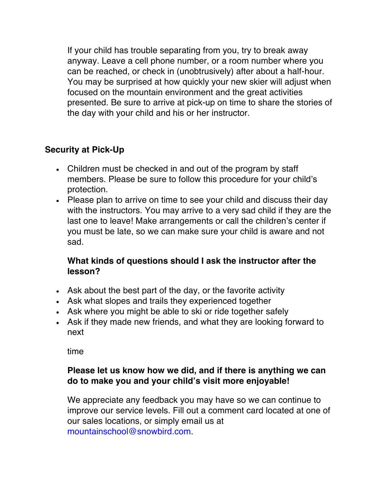If your child has trouble separating from you, try to break away anyway. Leave a cell phone number, or a room number where you can be reached, or check in (unobtrusively) after about a half-hour. You may be surprised at how quickly your new skier will adjust when focused on the mountain environment and the great activities presented. Be sure to arrive at pick-up on time to share the stories of the day with your child and his or her instructor.

# **Security at Pick-Up**

- Children must be checked in and out of the program by staff members. Please be sure to follow this procedure for your child's protection.
- Please plan to arrive on time to see your child and discuss their day with the instructors. You may arrive to a very sad child if they are the last one to leave! Make arrangements or call the children's center if you must be late, so we can make sure your child is aware and not sad.

## **What kinds of questions should I ask the instructor after the lesson?**

- Ask about the best part of the day, or the favorite activity
- Ask what slopes and trails they experienced together
- Ask where you might be able to ski or ride together safely
- Ask if they made new friends, and what they are looking forward to next

time

## **Please let us know how we did, and if there is anything we can do to make you and your child's visit more enjoyable!**

We appreciate any feedback you may have so we can continue to improve our service levels. Fill out a comment card located at one of our sales locations, or simply email us at mountainschool@snowbird.com.